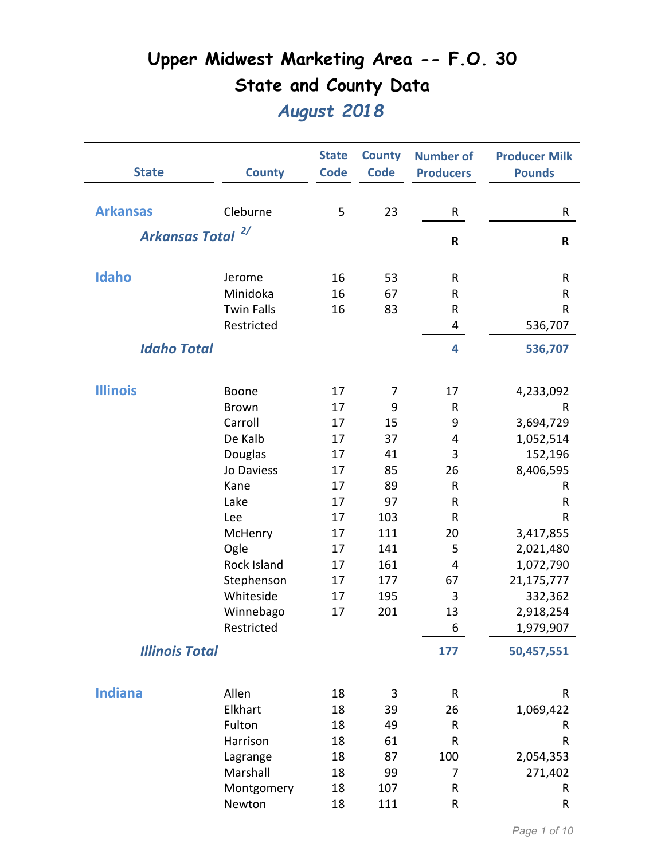| <b>State</b>          | <b>County</b>     | <b>State</b><br><b>Code</b> | <b>County</b><br><b>Code</b> | <b>Number of</b><br><b>Producers</b> | <b>Producer Milk</b><br><b>Pounds</b> |
|-----------------------|-------------------|-----------------------------|------------------------------|--------------------------------------|---------------------------------------|
|                       |                   |                             |                              |                                      |                                       |
| <b>Arkansas</b>       | Cleburne          | 5                           | 23                           | R                                    | R                                     |
| <b>Arkansas Total</b> | 2/                |                             |                              | $\mathsf R$                          | R                                     |
|                       |                   |                             |                              |                                      |                                       |
| Idaho                 | Jerome            | 16                          | 53                           | R                                    | R                                     |
|                       | Minidoka          | 16                          | 67                           | $\sf R$                              | R                                     |
|                       | <b>Twin Falls</b> | 16                          | 83                           | R                                    | R                                     |
|                       | Restricted        |                             |                              | 4                                    | 536,707                               |
| <b>Idaho Total</b>    |                   |                             |                              | 4                                    | 536,707                               |
| <b>Illinois</b>       | Boone             | 17                          | 7                            | 17                                   | 4,233,092                             |
|                       | <b>Brown</b>      | 17                          | 9                            | $\sf R$                              | R                                     |
|                       | Carroll           | 17                          | 15                           | 9                                    | 3,694,729                             |
|                       | De Kalb           | 17                          | 37                           | 4                                    | 1,052,514                             |
|                       | Douglas           | 17                          | 41                           | 3                                    | 152,196                               |
|                       | Jo Daviess        | 17                          | 85                           | 26                                   | 8,406,595                             |
|                       | Kane              | 17                          | 89                           | ${\sf R}$                            | R                                     |
|                       | Lake              | 17                          | 97                           | $\mathsf R$                          | R                                     |
|                       | Lee               | 17                          | 103                          | ${\sf R}$                            | R                                     |
|                       | McHenry           | 17                          | 111                          | 20                                   | 3,417,855                             |
|                       | Ogle              | 17                          | 141                          | 5                                    | 2,021,480                             |
|                       | Rock Island       | 17                          | 161                          | 4                                    | 1,072,790                             |
|                       | Stephenson        | 17                          | 177                          | 67                                   | 21,175,777                            |
|                       | Whiteside         | 17                          | 195                          | 3                                    | 332,362                               |
|                       | Winnebago         | 17                          | 201                          | 13                                   | 2,918,254                             |
|                       | Restricted        |                             |                              | 6                                    | 1,979,907                             |
| <b>Illinois Total</b> |                   |                             |                              | 177                                  | 50,457,551                            |
| <b>Indiana</b>        | Allen             | 18                          | 3                            | R                                    | R                                     |
|                       | Elkhart           | 18                          | 39                           | 26                                   | 1,069,422                             |
|                       | Fulton            | 18                          | 49                           | R                                    | R                                     |
|                       | Harrison          | 18                          | 61                           | ${\sf R}$                            | R                                     |
|                       | Lagrange          | 18                          | 87                           | 100                                  | 2,054,353                             |
|                       | Marshall          | 18                          | 99                           | 7                                    | 271,402                               |
|                       | Montgomery        | 18                          | 107                          | ${\sf R}$                            | R                                     |
|                       | Newton            | 18                          | 111                          | ${\sf R}$                            | R                                     |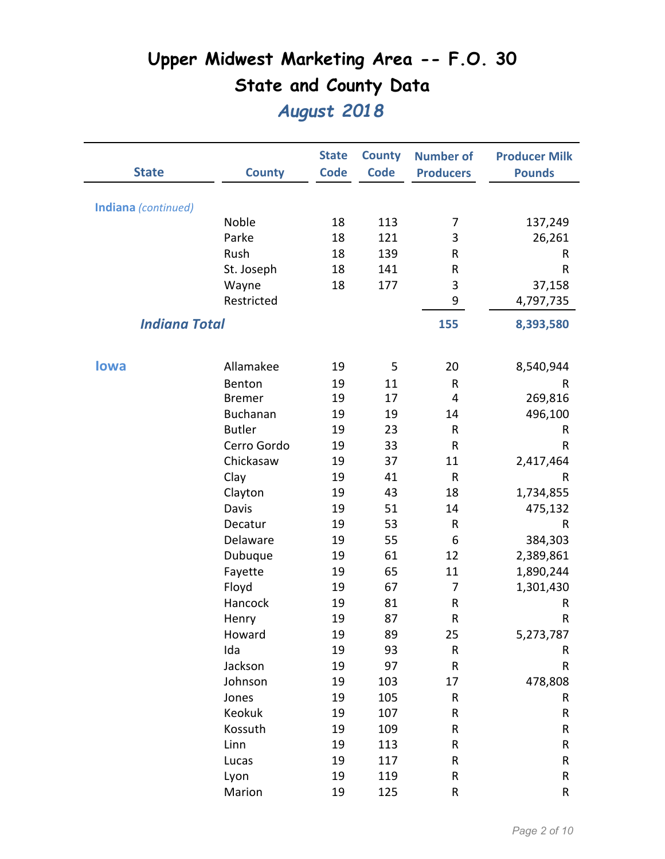| <b>State</b>         | <b>County</b>   | <b>State</b><br><b>Code</b> | <b>County</b><br><b>Code</b> | <b>Number of</b><br><b>Producers</b> | <b>Producer Milk</b><br><b>Pounds</b> |
|----------------------|-----------------|-----------------------------|------------------------------|--------------------------------------|---------------------------------------|
| Indiana (continued)  |                 |                             |                              |                                      |                                       |
|                      | Noble           | 18                          | 113                          | 7                                    | 137,249                               |
|                      | Parke           | 18                          | 121                          | 3                                    | 26,261                                |
|                      | Rush            | 18                          | 139                          | R                                    | R                                     |
|                      | St. Joseph      | 18                          | 141                          | R                                    | ${\sf R}$                             |
|                      | Wayne           | 18                          | 177                          | 3                                    | 37,158                                |
|                      | Restricted      |                             |                              | 9                                    | 4,797,735                             |
| <b>Indiana Total</b> |                 |                             |                              | 155                                  | 8,393,580                             |
|                      |                 |                             |                              |                                      |                                       |
| <b>lowa</b>          | Allamakee       | 19                          | 5                            | 20                                   | 8,540,944                             |
|                      | Benton          | 19                          | 11                           | R                                    | R                                     |
|                      | <b>Bremer</b>   | 19                          | 17                           | 4                                    | 269,816                               |
|                      | <b>Buchanan</b> | 19                          | 19                           | 14                                   | 496,100                               |
|                      | <b>Butler</b>   | 19                          | 23                           | R                                    | R                                     |
|                      | Cerro Gordo     | 19                          | 33                           | $\sf R$                              | R                                     |
|                      | Chickasaw       | 19                          | 37                           | 11                                   | 2,417,464                             |
|                      | Clay            | 19                          | 41                           | ${\sf R}$                            | R                                     |
|                      | Clayton         | 19                          | 43                           | 18                                   | 1,734,855                             |
|                      | Davis           | 19                          | 51                           | 14                                   | 475,132                               |
|                      | Decatur         | 19                          | 53                           | R                                    | R                                     |
|                      | Delaware        | 19                          | 55                           | 6                                    | 384,303                               |
|                      | Dubuque         | 19                          | 61                           | 12                                   | 2,389,861                             |
|                      | Fayette         | 19                          | 65                           | 11                                   | 1,890,244                             |
|                      | Floyd           | 19                          | 67                           | 7                                    | 1,301,430                             |
|                      | Hancock         | 19                          | 81                           | R                                    | R                                     |
|                      | Henry           | 19                          | 87                           | R                                    | R                                     |
|                      | Howard          | 19                          | 89                           | 25                                   | 5,273,787                             |
|                      | Ida             | 19                          | 93                           | ${\sf R}$                            | R                                     |
|                      | Jackson         | 19                          | 97                           | ${\sf R}$                            | ${\sf R}$                             |
|                      | Johnson         | 19                          | 103                          | 17                                   | 478,808                               |
|                      | Jones           | 19                          | 105                          | R                                    | R                                     |
|                      | Keokuk          | 19                          | 107                          | R                                    | ${\sf R}$                             |
|                      | Kossuth         | 19                          | 109                          | R                                    | R                                     |
|                      | Linn            | 19                          | 113                          | R                                    | ${\sf R}$                             |
|                      | Lucas           | 19                          | 117                          | R                                    | R                                     |
|                      | Lyon            | 19                          | 119                          | R                                    | R                                     |
|                      | Marion          | 19                          | 125                          | R                                    | ${\sf R}$                             |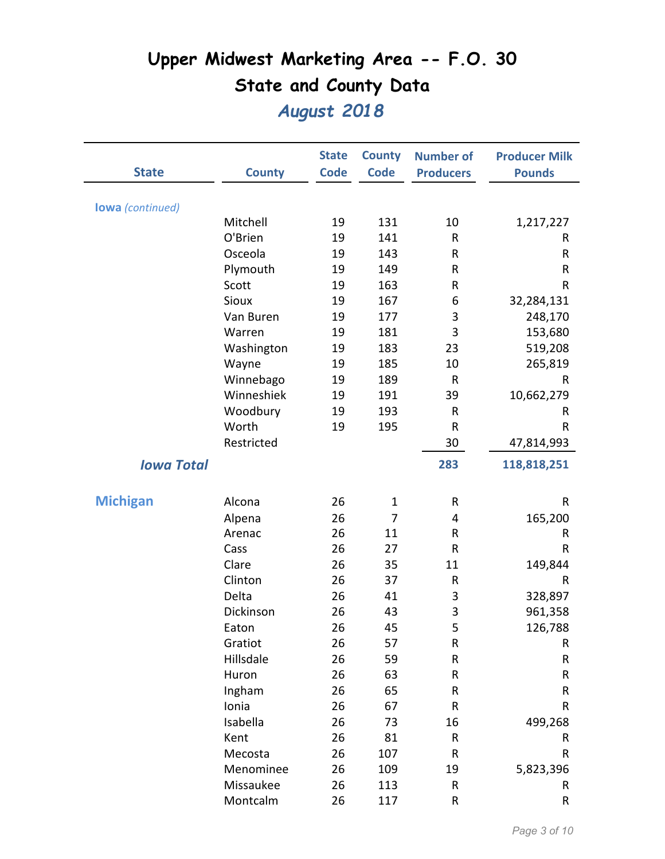| <b>State</b>            | <b>County</b> | <b>State</b><br><b>Code</b> | <b>County</b><br><b>Code</b> | <b>Number of</b><br><b>Producers</b> | <b>Producer Milk</b><br><b>Pounds</b> |
|-------------------------|---------------|-----------------------------|------------------------------|--------------------------------------|---------------------------------------|
|                         |               |                             |                              |                                      |                                       |
| <b>lowa</b> (continued) | Mitchell      | 19                          | 131                          | 10                                   |                                       |
|                         | O'Brien       | 19                          | 141                          | R                                    | 1,217,227                             |
|                         | Osceola       | 19                          | 143                          |                                      | R                                     |
|                         |               |                             |                              | R<br>${\sf R}$                       | R                                     |
|                         | Plymouth      | 19                          | 149                          |                                      | R                                     |
|                         | Scott         | 19                          | 163                          | R                                    | $\sf R$                               |
|                         | Sioux         | 19                          | 167                          | 6                                    | 32,284,131                            |
|                         | Van Buren     | 19                          | 177                          | 3                                    | 248,170                               |
|                         | Warren        | 19                          | 181                          | 3                                    | 153,680                               |
|                         | Washington    | 19                          | 183                          | 23                                   | 519,208                               |
|                         | Wayne         | 19                          | 185                          | 10                                   | 265,819                               |
|                         | Winnebago     | 19                          | 189                          | R                                    | R                                     |
|                         | Winneshiek    | 19                          | 191                          | 39                                   | 10,662,279                            |
|                         | Woodbury      | 19                          | 193                          | $\sf R$                              | R                                     |
|                         | Worth         | 19                          | 195                          | $\sf R$                              | R                                     |
|                         | Restricted    |                             |                              | 30                                   | 47,814,993                            |
| <b>Iowa Total</b>       |               |                             |                              | 283                                  | 118,818,251                           |
|                         |               |                             |                              |                                      |                                       |
| <b>Michigan</b>         | Alcona        | 26                          | $\mathbf 1$                  | R                                    | $\mathsf{R}$                          |
|                         | Alpena        | 26                          | 7                            | 4                                    | 165,200                               |
|                         | Arenac        | 26                          | 11                           | R                                    | R                                     |
|                         | Cass          | 26                          | 27                           | R                                    | R                                     |
|                         | Clare         | 26                          | 35                           | 11                                   | 149,844                               |
|                         | Clinton       | 26                          | 37                           | ${\sf R}$                            | R                                     |
|                         | Delta         | 26                          | 41                           | 3                                    | 328,897                               |
|                         | Dickinson     | 26                          | 43                           | 3                                    | 961,358                               |
|                         | Eaton         | 26                          | 45                           | 5                                    | 126,788                               |
|                         | Gratiot       | 26                          | 57                           | ${\sf R}$                            | R                                     |
|                         | Hillsdale     | 26                          | 59                           | ${\sf R}$                            | R                                     |
|                         | Huron         | 26                          | 63                           | R                                    | ${\sf R}$                             |
|                         | Ingham        | 26                          | 65                           | R                                    | ${\sf R}$                             |
|                         | Ionia         | 26                          | 67                           | ${\sf R}$                            | R                                     |
|                         | Isabella      | 26                          | 73                           | 16                                   | 499,268                               |
|                         | Kent          | 26                          | 81                           | R                                    | R                                     |
|                         | Mecosta       | 26                          | 107                          | R                                    | R                                     |
|                         | Menominee     | 26                          | 109                          | 19                                   | 5,823,396                             |
|                         | Missaukee     | 26                          | 113                          | R                                    | R                                     |
|                         | Montcalm      | 26                          | 117                          | ${\sf R}$                            | ${\sf R}$                             |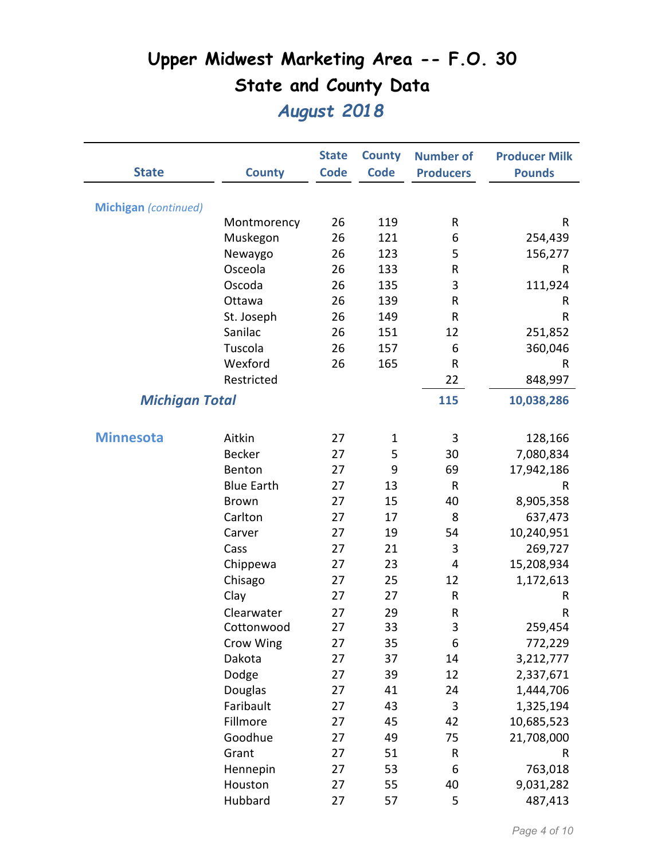| <b>State</b>                | <b>County</b>     | <b>State</b><br><b>Code</b> | <b>County</b><br><b>Code</b> | <b>Number of</b><br><b>Producers</b> | <b>Producer Milk</b><br><b>Pounds</b> |
|-----------------------------|-------------------|-----------------------------|------------------------------|--------------------------------------|---------------------------------------|
|                             |                   |                             |                              |                                      |                                       |
| <b>Michigan</b> (continued) |                   |                             |                              |                                      |                                       |
|                             | Montmorency       | 26                          | 119                          | R                                    | R                                     |
|                             | Muskegon          | 26                          | 121                          | 6                                    | 254,439                               |
|                             | Newaygo           | 26                          | 123                          | 5                                    | 156,277                               |
|                             | Osceola           | 26                          | 133                          | $\sf R$                              | R                                     |
|                             | Oscoda            | 26                          | 135                          | 3                                    | 111,924                               |
|                             | Ottawa            | 26                          | 139                          | R                                    | R                                     |
|                             | St. Joseph        | 26                          | 149                          | R                                    | R                                     |
|                             | Sanilac           | 26                          | 151                          | 12                                   | 251,852                               |
|                             | Tuscola           | 26                          | 157                          | 6                                    | 360,046                               |
|                             | Wexford           | 26                          | 165                          | ${\sf R}$                            | $\mathsf{R}$                          |
|                             | Restricted        |                             |                              | 22                                   | 848,997                               |
| <b>Michigan Total</b>       |                   |                             |                              | 115                                  | 10,038,286                            |
| <b>Minnesota</b>            | Aitkin            | 27                          | $\mathbf 1$                  | 3                                    | 128,166                               |
|                             | <b>Becker</b>     | 27                          | 5                            | 30                                   | 7,080,834                             |
|                             | Benton            | 27                          | 9                            | 69                                   | 17,942,186                            |
|                             | <b>Blue Earth</b> | 27                          | 13                           | R                                    | R                                     |
|                             | <b>Brown</b>      | 27                          | 15                           | 40                                   | 8,905,358                             |
|                             | Carlton           | 27                          | 17                           | 8                                    | 637,473                               |
|                             | Carver            | 27                          | 19                           | 54                                   | 10,240,951                            |
|                             | Cass              | 27                          | 21                           | 3                                    | 269,727                               |
|                             | Chippewa          | 27                          | 23                           | 4                                    | 15,208,934                            |
|                             | Chisago           | 27                          | 25                           | 12                                   | 1,172,613                             |
|                             | Clay              | 27                          | 27                           | $\sf R$                              | R                                     |
|                             | Clearwater        | 27                          | 29                           | ${\sf R}$                            | R                                     |
|                             | Cottonwood        | 27                          | 33                           | 3                                    | 259,454                               |
|                             | Crow Wing         | 27                          | 35                           | 6                                    | 772,229                               |
|                             | Dakota            | 27                          | 37                           | 14                                   | 3,212,777                             |
|                             | Dodge             | 27                          | 39                           | 12                                   | 2,337,671                             |
|                             | Douglas           | 27                          | 41                           | 24                                   | 1,444,706                             |
|                             | Faribault         | 27                          | 43                           | 3                                    | 1,325,194                             |
|                             | Fillmore          | 27                          | 45                           | 42                                   | 10,685,523                            |
|                             | Goodhue           | 27                          | 49                           | 75                                   | 21,708,000                            |
|                             | Grant             | 27                          | 51                           | ${\sf R}$                            | R                                     |
|                             | Hennepin          | 27                          | 53                           | 6                                    | 763,018                               |
|                             | Houston           | 27                          | 55                           | 40                                   | 9,031,282                             |
|                             | Hubbard           | 27                          | 57                           | 5                                    | 487,413                               |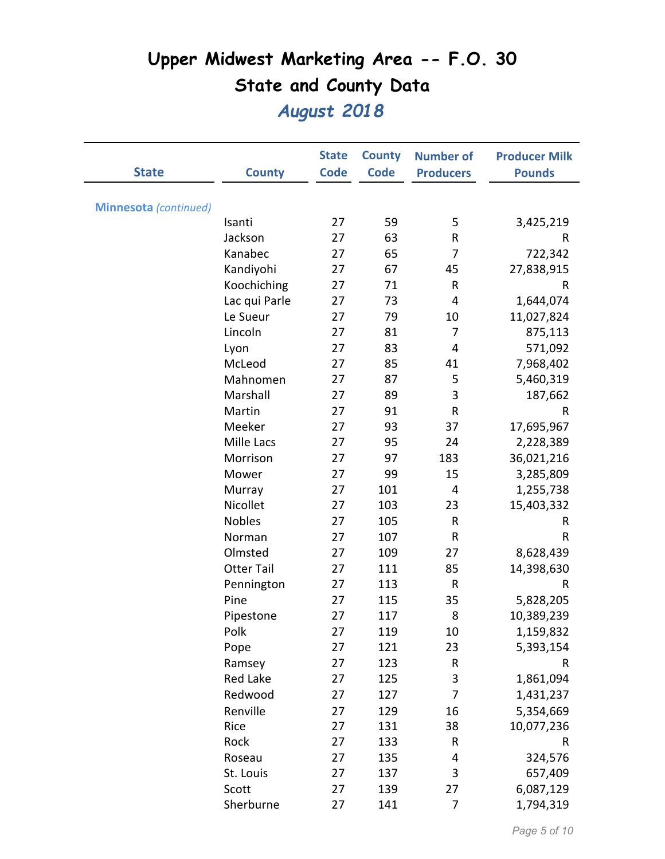|                       |                   | <b>State</b> | <b>County</b> | <b>Number of</b> | <b>Producer Milk</b> |
|-----------------------|-------------------|--------------|---------------|------------------|----------------------|
| <b>State</b>          | <b>County</b>     | <b>Code</b>  | <b>Code</b>   | <b>Producers</b> | <b>Pounds</b>        |
|                       |                   |              |               |                  |                      |
| Minnesota (continued) |                   |              |               |                  |                      |
|                       | Isanti            | 27           | 59            | 5                | 3,425,219            |
|                       | Jackson           | 27           | 63            | ${\sf R}$        | R                    |
|                       | Kanabec           | 27           | 65            | 7                | 722,342              |
|                       | Kandiyohi         | 27           | 67            | 45               | 27,838,915           |
|                       | Koochiching       | 27           | 71            | $\mathsf R$      | R                    |
|                       | Lac qui Parle     | 27           | 73            | 4                | 1,644,074            |
|                       | Le Sueur          | 27           | 79            | 10               | 11,027,824           |
|                       | Lincoln           | 27           | 81            | 7                | 875,113              |
|                       | Lyon              | 27           | 83            | 4                | 571,092              |
|                       | McLeod            | 27           | 85            | 41               | 7,968,402            |
|                       | Mahnomen          | 27           | 87            | 5                | 5,460,319            |
|                       | Marshall          | 27           | 89            | 3                | 187,662              |
|                       | Martin            | 27           | 91            | $\mathsf R$      | R                    |
|                       | Meeker            | 27           | 93            | 37               | 17,695,967           |
|                       | Mille Lacs        | 27           | 95            | 24               | 2,228,389            |
|                       | Morrison          | 27           | 97            | 183              | 36,021,216           |
|                       | Mower             | 27           | 99            | 15               | 3,285,809            |
|                       | Murray            | 27           | 101           | 4                | 1,255,738            |
|                       | Nicollet          | 27           | 103           | 23               | 15,403,332           |
|                       | <b>Nobles</b>     | 27           | 105           | $\mathsf R$      | R                    |
|                       | Norman            | 27           | 107           | ${\sf R}$        | ${\sf R}$            |
|                       | Olmsted           | 27           | 109           | 27               | 8,628,439            |
|                       | <b>Otter Tail</b> | 27           | 111           | 85               | 14,398,630           |
|                       | Pennington        | 27           | 113           | $\mathsf R$      | R                    |
|                       | Pine              | 27           | 115           | 35               | 5,828,205            |
|                       | Pipestone         | 27           | 117           | 8                | 10,389,239           |
|                       | Polk              | 27           | 119           | 10               | 1,159,832            |
|                       | Pope              | 27           | 121           | 23               | 5,393,154            |
|                       | Ramsey            | 27           | 123           | ${\sf R}$        | R                    |
|                       | Red Lake          | 27           | 125           | 3                | 1,861,094            |
|                       | Redwood           | 27           | 127           | $\overline{7}$   | 1,431,237            |
|                       | Renville          | 27           | 129           | 16               | 5,354,669            |
|                       | Rice              | 27           | 131           | 38               | 10,077,236           |
|                       | Rock              | 27           | 133           | ${\sf R}$        | R                    |
|                       | Roseau            | 27           | 135           | 4                | 324,576              |
|                       | St. Louis         | 27           | 137           | 3                | 657,409              |
|                       | Scott             | 27           | 139           | 27               | 6,087,129            |
|                       | Sherburne         | 27           | 141           | 7                | 1,794,319            |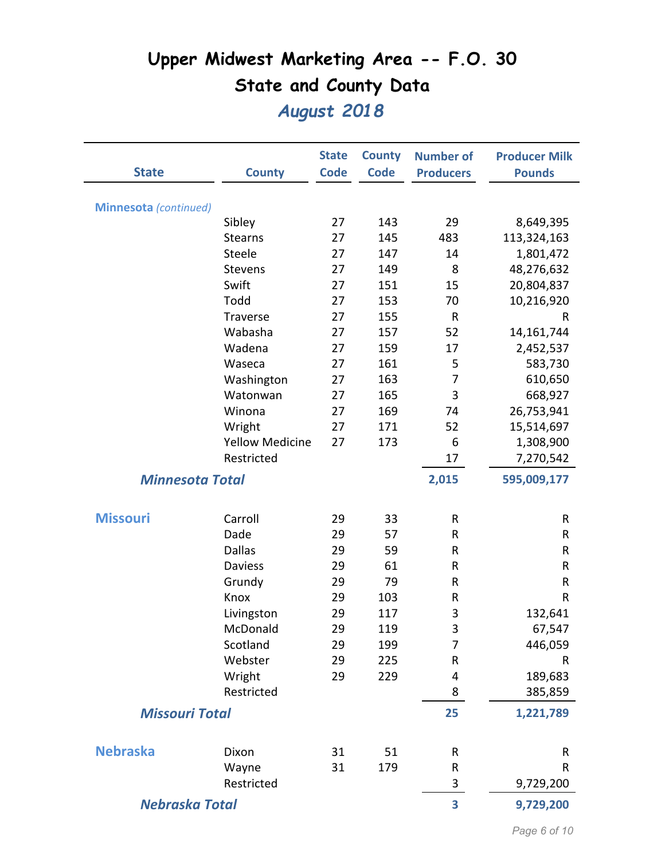| <b>State</b>           | <b>County</b>          | <b>State</b><br><b>Code</b> | <b>County</b><br><b>Code</b> | <b>Number of</b><br><b>Producers</b> | <b>Producer Milk</b><br><b>Pounds</b> |
|------------------------|------------------------|-----------------------------|------------------------------|--------------------------------------|---------------------------------------|
| Minnesota (continued)  |                        |                             |                              |                                      |                                       |
|                        | Sibley                 | 27                          | 143                          | 29                                   | 8,649,395                             |
|                        | <b>Stearns</b>         | 27                          | 145                          | 483                                  | 113,324,163                           |
|                        | Steele                 | 27                          | 147                          | 14                                   | 1,801,472                             |
|                        | <b>Stevens</b>         | 27                          | 149                          | 8                                    | 48,276,632                            |
|                        | Swift                  | 27                          | 151                          | 15                                   | 20,804,837                            |
|                        | Todd                   | 27                          | 153                          | 70                                   | 10,216,920                            |
|                        | <b>Traverse</b>        | 27                          | 155                          | R                                    | R                                     |
|                        | Wabasha                | 27                          | 157                          | 52                                   | 14,161,744                            |
|                        | Wadena                 | 27                          | 159                          | 17                                   | 2,452,537                             |
|                        | Waseca                 | 27                          | 161                          | 5                                    | 583,730                               |
|                        | Washington             | 27                          | 163                          | 7                                    | 610,650                               |
|                        | Watonwan               | 27                          | 165                          | 3                                    | 668,927                               |
|                        | Winona                 | 27                          | 169                          | 74                                   | 26,753,941                            |
|                        | Wright                 | 27                          | 171                          | 52                                   | 15,514,697                            |
|                        | <b>Yellow Medicine</b> | 27                          | 173                          | 6                                    | 1,308,900                             |
|                        | Restricted             |                             |                              | 17                                   | 7,270,542                             |
| <b>Minnesota Total</b> |                        |                             |                              | 2,015                                | 595,009,177                           |
| <b>Missouri</b>        | Carroll                | 29                          | 33                           | R                                    | R                                     |
|                        | Dade                   | 29                          | 57                           | R                                    | R                                     |
|                        | <b>Dallas</b>          | 29                          | 59                           | R                                    | R                                     |
|                        | <b>Daviess</b>         | 29                          | 61                           | ${\sf R}$                            | R                                     |
|                        | Grundy                 | 29                          | 79                           | ${\sf R}$                            | ${\sf R}$                             |
|                        | Knox                   | 29                          | 103                          | R                                    | R                                     |
|                        | Livingston             | 29                          | 117                          | 3                                    | 132,641                               |
|                        | McDonald               | 29                          | 119                          | 3                                    | 67,547                                |
|                        | Scotland               | 29                          | 199                          | 7                                    | 446,059                               |
|                        | Webster                | 29                          | 225                          | R                                    | R                                     |
|                        | Wright                 | 29                          | 229                          | 4                                    | 189,683                               |
|                        | Restricted             |                             |                              | 8                                    | 385,859                               |
| <b>Missouri Total</b>  |                        |                             |                              | 25                                   | 1,221,789                             |
| <b>Nebraska</b>        | Dixon                  | 31                          | 51                           | ${\sf R}$                            | R                                     |
|                        | Wayne                  | 31                          | 179                          | ${\sf R}$                            | R                                     |
|                        | Restricted             |                             |                              | 3                                    | 9,729,200                             |
| <b>Nebraska Total</b>  |                        |                             |                              | 3                                    | 9,729,200                             |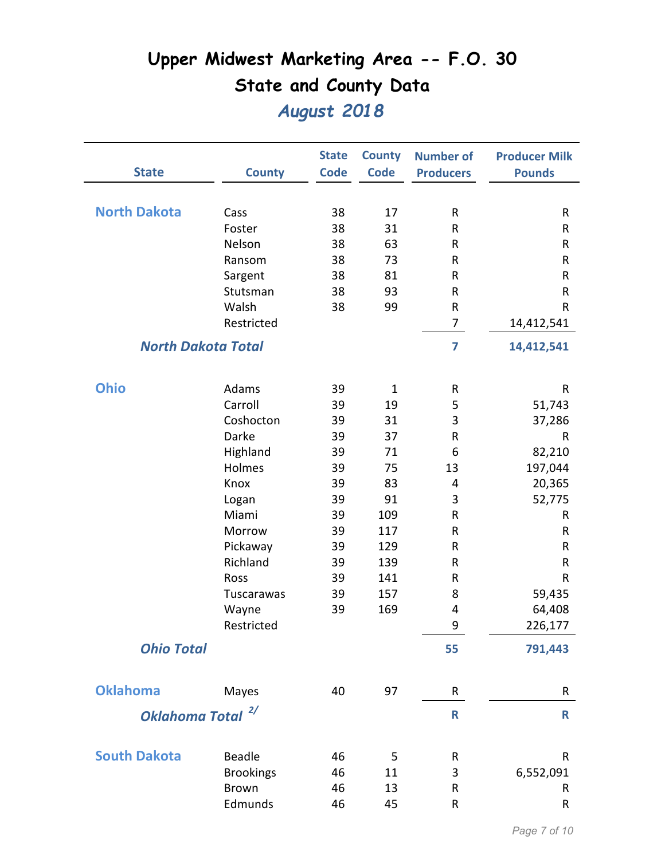| <b>State</b>                 | <b>County</b>             | <b>State</b><br><b>Code</b> | <b>County</b><br><b>Code</b> | <b>Number of</b><br><b>Producers</b> | <b>Producer Milk</b><br><b>Pounds</b> |
|------------------------------|---------------------------|-----------------------------|------------------------------|--------------------------------------|---------------------------------------|
|                              |                           |                             |                              |                                      |                                       |
| <b>North Dakota</b>          | Cass                      | 38                          | 17                           | ${\sf R}$                            | R                                     |
|                              | Foster                    | 38                          | 31                           | R                                    | R                                     |
|                              | Nelson                    | 38                          | 63                           | ${\sf R}$                            | R                                     |
|                              | Ransom                    | 38                          | 73                           | R                                    | R                                     |
|                              | Sargent                   | 38                          | 81                           | R                                    | R                                     |
|                              | Stutsman                  | 38                          | 93                           | R                                    | R                                     |
|                              | Walsh                     | 38                          | 99                           | ${\sf R}$                            | ${\sf R}$                             |
|                              | Restricted                |                             |                              | $\overline{7}$                       | 14,412,541                            |
|                              | <b>North Dakota Total</b> |                             |                              | 7                                    | 14,412,541                            |
| <b>Ohio</b>                  | Adams                     | 39                          | $\mathbf 1$                  | R                                    | R                                     |
|                              | Carroll                   | 39                          | 19                           | 5                                    | 51,743                                |
|                              | Coshocton                 | 39                          | 31                           | 3                                    | 37,286                                |
|                              | Darke                     | 39                          | 37                           | R                                    | $\mathsf{R}$                          |
|                              | Highland                  | 39                          | 71                           | 6                                    | 82,210                                |
|                              | Holmes                    | 39                          | 75                           | 13                                   | 197,044                               |
|                              | Knox                      | 39                          | 83                           | $\overline{4}$                       | 20,365                                |
|                              | Logan                     | 39                          | 91                           | 3                                    | 52,775                                |
|                              | Miami                     | 39                          | 109                          | ${\sf R}$                            | R                                     |
|                              | Morrow                    | 39                          | 117                          | ${\sf R}$                            | R                                     |
|                              | Pickaway                  | 39                          | 129                          | R                                    | R                                     |
|                              | Richland                  | 39                          | 139                          | R                                    | R                                     |
|                              | Ross                      | 39                          | 141                          | ${\sf R}$                            | R                                     |
|                              | Tuscarawas                | 39                          | 157                          | 8                                    | 59,435                                |
|                              | Wayne                     | 39                          | 169                          | 4                                    | 64,408                                |
|                              | Restricted                |                             |                              | 9                                    | 226,177                               |
| <b>Ohio Total</b>            |                           |                             |                              | 55                                   | 791,443                               |
| <b>Oklahoma</b>              | Mayes                     | 40                          | 97                           | R                                    | R                                     |
| Oklahoma Total <sup>2/</sup> |                           |                             |                              | R                                    | $\mathsf{R}$                          |
|                              |                           |                             |                              |                                      |                                       |
| <b>South Dakota</b>          | <b>Beadle</b>             | 46                          | 5                            | R                                    | $\mathsf{R}$                          |
|                              | <b>Brookings</b>          | 46                          | 11                           | 3                                    | 6,552,091                             |
|                              | <b>Brown</b>              | 46                          | 13                           | R                                    | R.                                    |
|                              | Edmunds                   | 46                          | 45                           | ${\sf R}$                            | R                                     |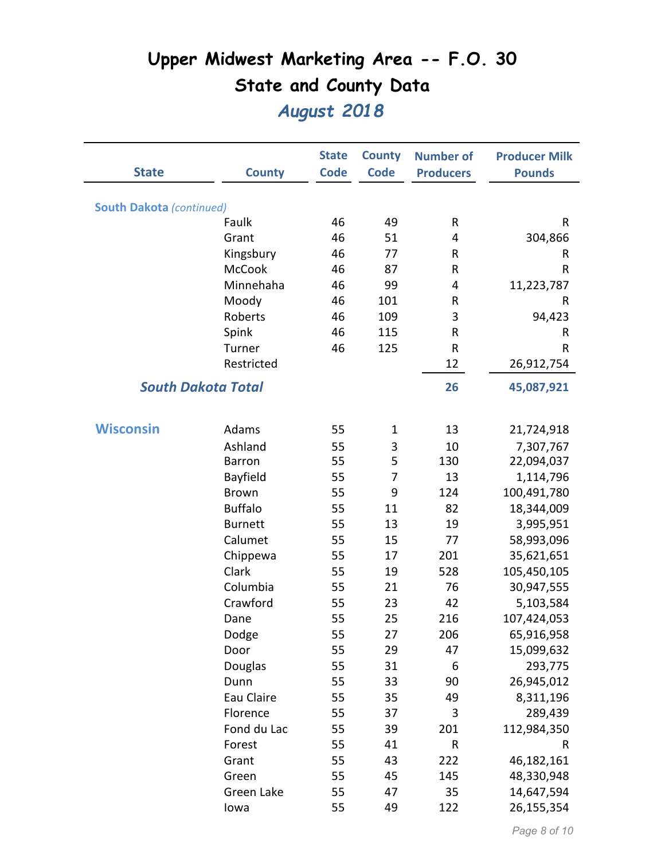|                                 |                           | <b>State</b> | <b>County</b>  | <b>Number of</b> | <b>Producer Milk</b> |
|---------------------------------|---------------------------|--------------|----------------|------------------|----------------------|
| <b>State</b>                    | <b>County</b>             | <b>Code</b>  | <b>Code</b>    | <b>Producers</b> | <b>Pounds</b>        |
|                                 |                           |              |                |                  |                      |
| <b>South Dakota (continued)</b> |                           |              |                |                  |                      |
|                                 | Faulk                     | 46           | 49             | R                | R                    |
|                                 | Grant                     | 46           | 51             | 4                | 304,866              |
|                                 | Kingsbury                 | 46           | 77             | R                | R                    |
|                                 | <b>McCook</b>             | 46           | 87             | R                | R                    |
|                                 | Minnehaha                 | 46           | 99             | 4                | 11,223,787           |
|                                 | Moody                     | 46           | 101            | R                | R                    |
|                                 | Roberts                   | 46           | 109            | 3                | 94,423               |
|                                 | Spink                     | 46           | 115            | R                | R                    |
|                                 | Turner                    | 46           | 125            | R                | R                    |
|                                 | Restricted                |              |                | 12               | 26,912,754           |
|                                 | <b>South Dakota Total</b> |              |                | 26               | 45,087,921           |
|                                 |                           |              |                |                  |                      |
| <b>Wisconsin</b>                | Adams                     | 55           | $\mathbf{1}$   | 13               | 21,724,918           |
|                                 | Ashland                   | 55           | 3              | 10               | 7,307,767            |
|                                 | <b>Barron</b>             | 55           | 5              | 130              | 22,094,037           |
|                                 | Bayfield                  | 55           | $\overline{7}$ | 13               | 1,114,796            |
|                                 | <b>Brown</b>              | 55           | 9              | 124              | 100,491,780          |
|                                 | <b>Buffalo</b>            | 55           | 11             | 82               | 18,344,009           |
|                                 | <b>Burnett</b>            | 55           | 13             | 19               | 3,995,951            |
|                                 | Calumet                   | 55           | 15             | 77               | 58,993,096           |
|                                 | Chippewa                  | 55           | 17             | 201              | 35,621,651           |
|                                 | Clark                     | 55           | 19             | 528              | 105,450,105          |
|                                 | Columbia                  | 55           | 21             | 76               | 30,947,555           |
|                                 | Crawford                  | 55           | 23             | 42               | 5,103,584            |
|                                 | Dane                      | 55           | 25             | 216              | 107,424,053          |
|                                 | Dodge                     | 55           | 27             | 206              | 65,916,958           |
|                                 | Door                      | 55           | 29             | 47               | 15,099,632           |
|                                 | Douglas                   | 55           | 31             | 6                | 293,775              |
|                                 | Dunn                      | 55           | 33             | 90               | 26,945,012           |
|                                 | Eau Claire                | 55           | 35             | 49               | 8,311,196            |
|                                 | Florence                  | 55           | 37             | 3                | 289,439              |
|                                 | Fond du Lac               | 55           | 39             | 201              | 112,984,350          |
|                                 | Forest                    | 55           | 41             | R                | $\mathsf R$          |
|                                 | Grant                     | 55           | 43             | 222              | 46,182,161           |
|                                 | Green                     | 55           | 45             | 145              | 48,330,948           |
|                                 | Green Lake                | 55           | 47             | 35               | 14,647,594           |
|                                 | lowa                      | 55           | 49             | 122              | 26,155,354           |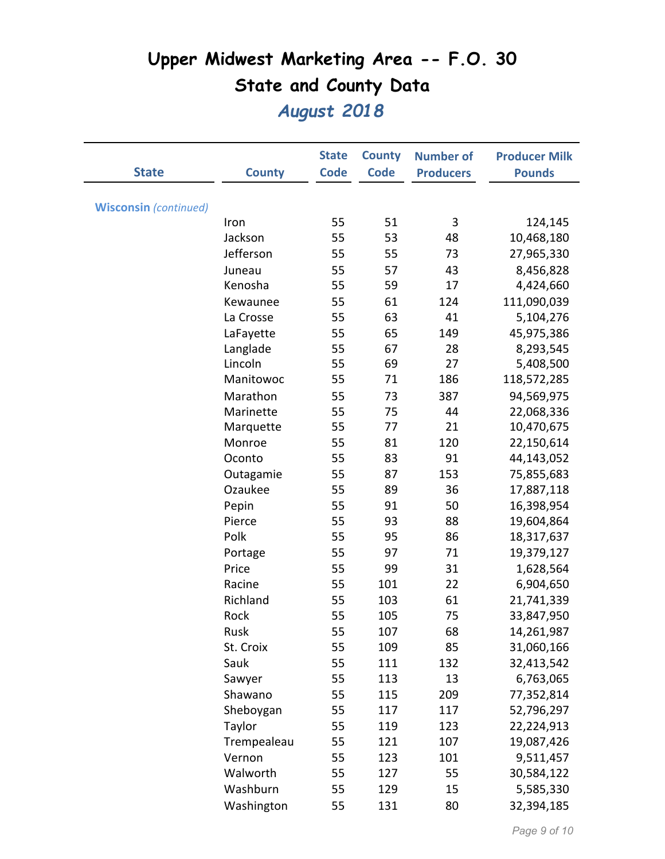|                              |               | <b>State</b> | <b>County</b> | <b>Number of</b> | <b>Producer Milk</b> |
|------------------------------|---------------|--------------|---------------|------------------|----------------------|
| <b>State</b>                 | <b>County</b> | <b>Code</b>  | <b>Code</b>   | <b>Producers</b> | <b>Pounds</b>        |
|                              |               |              |               |                  |                      |
| <b>Wisconsin</b> (continued) |               |              |               |                  |                      |
|                              | Iron          | 55           | 51            | 3                | 124,145              |
|                              | Jackson       | 55           | 53            | 48               | 10,468,180           |
|                              | Jefferson     | 55           | 55            | 73               | 27,965,330           |
|                              | Juneau        | 55           | 57            | 43               | 8,456,828            |
|                              | Kenosha       | 55           | 59            | 17               | 4,424,660            |
|                              | Kewaunee      | 55           | 61            | 124              | 111,090,039          |
|                              | La Crosse     | 55           | 63            | 41               | 5,104,276            |
|                              | LaFayette     | 55           | 65            | 149              | 45,975,386           |
|                              | Langlade      | 55           | 67            | 28               | 8,293,545            |
|                              | Lincoln       | 55           | 69            | 27               | 5,408,500            |
|                              | Manitowoc     | 55           | 71            | 186              | 118,572,285          |
|                              | Marathon      | 55           | 73            | 387              | 94,569,975           |
|                              | Marinette     | 55           | 75            | 44               | 22,068,336           |
|                              | Marquette     | 55           | 77            | 21               | 10,470,675           |
|                              | Monroe        | 55           | 81            | 120              | 22,150,614           |
|                              | Oconto        | 55           | 83            | 91               | 44,143,052           |
|                              | Outagamie     | 55           | 87            | 153              | 75,855,683           |
|                              | Ozaukee       | 55           | 89            | 36               | 17,887,118           |
|                              | Pepin         | 55           | 91            | 50               | 16,398,954           |
|                              | Pierce        | 55           | 93            | 88               | 19,604,864           |
|                              | Polk          | 55           | 95            | 86               | 18,317,637           |
|                              | Portage       | 55           | 97            | 71               | 19,379,127           |
|                              | Price         | 55           | 99            | 31               | 1,628,564            |
|                              | Racine        | 55           | 101           | 22               | 6,904,650            |
|                              | Richland      | 55           | 103           | 61               | 21,741,339           |
|                              | Rock          | 55           | 105           | 75               | 33,847,950           |
|                              | Rusk          | 55           | 107           | 68               | 14,261,987           |
|                              | St. Croix     | 55           | 109           | 85               | 31,060,166           |
|                              | Sauk          | 55           | 111           | 132              | 32,413,542           |
|                              | Sawyer        | 55           | 113           | 13               | 6,763,065            |
|                              | Shawano       | 55           | 115           | 209              | 77,352,814           |
|                              | Sheboygan     | 55           | 117           | 117              | 52,796,297           |
|                              | Taylor        | 55           | 119           | 123              | 22,224,913           |
|                              | Trempealeau   | 55           | 121           | 107              | 19,087,426           |
|                              | Vernon        | 55           | 123           | 101              | 9,511,457            |
|                              | Walworth      | 55           | 127           | 55               | 30,584,122           |
|                              | Washburn      | 55           | 129           | 15               | 5,585,330            |
|                              | Washington    | 55           | 131           | 80               | 32,394,185           |